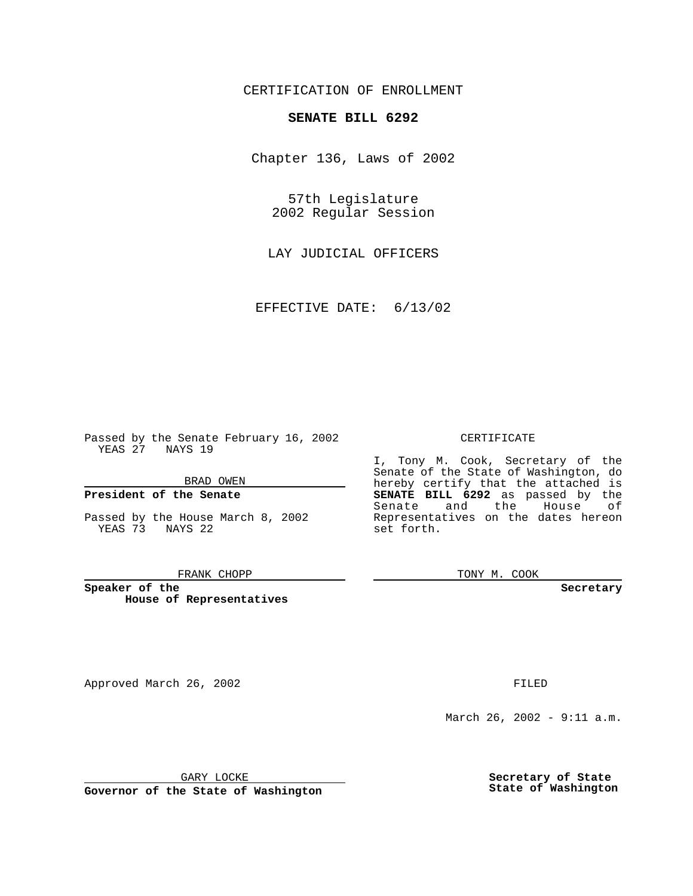CERTIFICATION OF ENROLLMENT

## **SENATE BILL 6292**

Chapter 136, Laws of 2002

57th Legislature 2002 Regular Session

LAY JUDICIAL OFFICERS

EFFECTIVE DATE: 6/13/02

Passed by the Senate February 16, 2002 YEAS 27 NAYS 19

BRAD OWEN

### **President of the Senate**

Passed by the House March 8, 2002 YEAS 73 NAYS 22

#### FRANK CHOPP

**Speaker of the House of Representatives**

Approved March 26, 2002 **FILED** 

### CERTIFICATE

I, Tony M. Cook, Secretary of the Senate of the State of Washington, do hereby certify that the attached is **SENATE BILL 6292** as passed by the Senate and the House of Representatives on the dates hereon set forth.

TONY M. COOK

**Secretary**

March 26, 2002 - 9:11 a.m.

GARY LOCKE

**Governor of the State of Washington**

**Secretary of State State of Washington**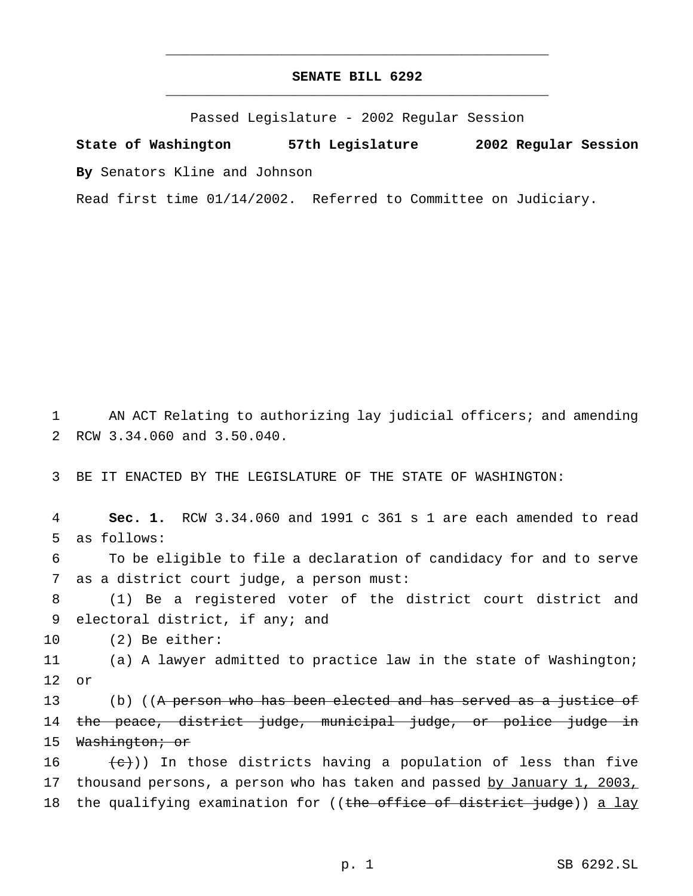# **SENATE BILL 6292** \_\_\_\_\_\_\_\_\_\_\_\_\_\_\_\_\_\_\_\_\_\_\_\_\_\_\_\_\_\_\_\_\_\_\_\_\_\_\_\_\_\_\_\_\_\_\_

\_\_\_\_\_\_\_\_\_\_\_\_\_\_\_\_\_\_\_\_\_\_\_\_\_\_\_\_\_\_\_\_\_\_\_\_\_\_\_\_\_\_\_\_\_\_\_

Passed Legislature - 2002 Regular Session

**State of Washington 57th Legislature 2002 Regular Session**

**By** Senators Kline and Johnson

Read first time 01/14/2002. Referred to Committee on Judiciary.

1 AN ACT Relating to authorizing lay judicial officers; and amending 2 RCW 3.34.060 and 3.50.040.

3 BE IT ENACTED BY THE LEGISLATURE OF THE STATE OF WASHINGTON:

 **Sec. 1.** RCW 3.34.060 and 1991 c 361 s 1 are each amended to read as follows: To be eligible to file a declaration of candidacy for and to serve as a district court judge, a person must: (1) Be a registered voter of the district court district and electoral district, if any; and (2) Be either: (a) A lawyer admitted to practice law in the state of Washington; 12 or 13 (b) ((A person who has been elected and has served as a justice of the peace, district judge, municipal judge, or police judge in 15 Washington; or  $\left(\frac{e}{c}\right)$ ) In those districts having a population of less than five 17 thousand persons, a person who has taken and passed by January 1, 2003, 18 the qualifying examination for ((the office of district judge)) a lay